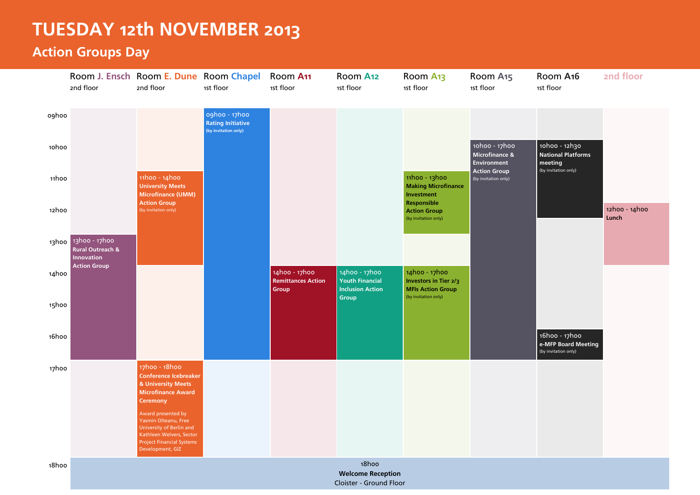## **TUESDAY 12th NOVEMBER 2013**

## **Action Groups Day**

|       | 2nd floor                                                               | Room J. Ensch Room E. Dune Room Chapel<br>2nd floor                                                                                                        | 1st floor                                                         | Room A11<br>1st floor                               | Room A12<br>1st floor                                              | Room A <sub>13</sub><br>1st floor                                                                                                               | Room A <sub>15</sub><br>1st floor              | Room A <sub>16</sub><br>1st floor                            | 2nd floor              |
|-------|-------------------------------------------------------------------------|------------------------------------------------------------------------------------------------------------------------------------------------------------|-------------------------------------------------------------------|-----------------------------------------------------|--------------------------------------------------------------------|-------------------------------------------------------------------------------------------------------------------------------------------------|------------------------------------------------|--------------------------------------------------------------|------------------------|
| oghoo |                                                                         |                                                                                                                                                            | oghoo - 17hoo<br><b>Rating Initiative</b><br>(by invitation only) |                                                     |                                                                    |                                                                                                                                                 |                                                |                                                              |                        |
| 10hoo |                                                                         |                                                                                                                                                            |                                                                   |                                                     |                                                                    |                                                                                                                                                 | 10h00 - 17h00<br>Microfinance &<br>Environment | 10h00 - 12h30<br><b>National Platforms</b><br>meeting        |                        |
| 11hoo |                                                                         | 11h00 - 14h00<br><b>University Meets</b><br><b>Microfinance (UMM)</b><br><b>Action Group</b><br>(by invitation only)                                       |                                                                   |                                                     |                                                                    | 11h00 - 13h00<br>(by invitation only)<br><b>Making Microfinance</b><br>Investment<br>Responsible<br><b>Action Group</b><br>(by invitation only) | <b>Action Group</b>                            | (by invitation only)                                         |                        |
| 12hoo |                                                                         |                                                                                                                                                            |                                                                   |                                                     |                                                                    |                                                                                                                                                 |                                                |                                                              | 12h00 - 14h00<br>Lunch |
|       | 13hoo 13hoo - 17hoo<br><b>Rural Outreach &amp;</b><br><b>Innovation</b> |                                                                                                                                                            |                                                                   |                                                     |                                                                    |                                                                                                                                                 |                                                |                                                              |                        |
| 14hoo | <b>Action Group</b>                                                     |                                                                                                                                                            |                                                                   | 14h00 - 17h00<br><b>Remittances Action</b><br>Group | 14h00 - 17h00<br><b>Youth Financial</b><br><b>Inclusion Action</b> | 14h00 - 17h00<br><b>Investors in Tier 2/3</b><br><b>MFIs Action Group</b>                                                                       |                                                |                                                              |                        |
| 15hoo |                                                                         |                                                                                                                                                            |                                                                   |                                                     | Group                                                              | (by invitation only)                                                                                                                            |                                                |                                                              |                        |
| 16hoo |                                                                         |                                                                                                                                                            |                                                                   |                                                     |                                                                    |                                                                                                                                                 |                                                | 16hoo - 17hoo<br>e-MFP Board Meeting<br>(by invitation only) |                        |
| 17hoo |                                                                         | 17hoo - 18hoo<br><b>Conference Icebreaker</b><br>& University Meets<br><b>Microfinance Award</b><br>Ceremony                                               |                                                                   |                                                     |                                                                    |                                                                                                                                                 |                                                |                                                              |                        |
|       |                                                                         | Award presented by<br>Yasmin Olteanu, Free<br>University of Berlin and<br>Kathleen Welvers, Sector<br><b>Project Financial Systems</b><br>Development, GIZ |                                                                   |                                                     |                                                                    |                                                                                                                                                 |                                                |                                                              |                        |
| 18hoo |                                                                         |                                                                                                                                                            |                                                                   |                                                     | 18hoo<br><b>Welcome Reception</b><br>Cloister - Ground Floor       |                                                                                                                                                 |                                                |                                                              |                        |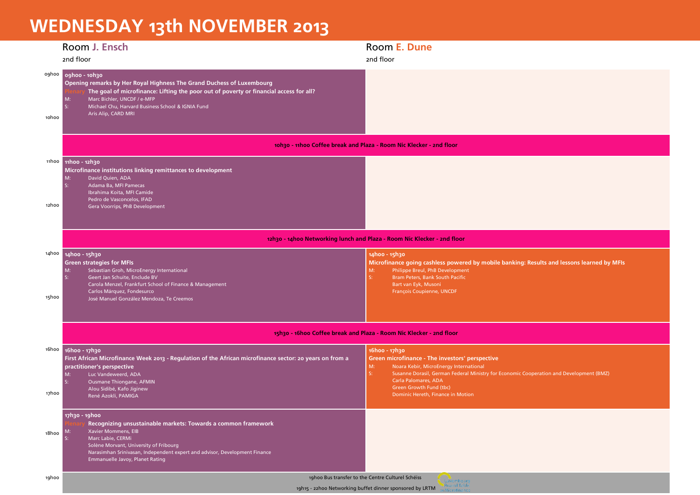## **WEDNESDAY 13th NOVEMBER 2013**

|       | Room J. Ensch                                                                                                                                                                                                                                                                                                 | Room E. Dune                                                                                                                                                                                                                                   |  |  |  |
|-------|---------------------------------------------------------------------------------------------------------------------------------------------------------------------------------------------------------------------------------------------------------------------------------------------------------------|------------------------------------------------------------------------------------------------------------------------------------------------------------------------------------------------------------------------------------------------|--|--|--|
|       | 2nd floor                                                                                                                                                                                                                                                                                                     | 2nd floor                                                                                                                                                                                                                                      |  |  |  |
| 10hoo | oghoo oghoo - 10h30<br>Opening remarks by Her Royal Highness The Grand Duchess of Luxembourg<br>The goal of microfinance: Lifting the poor out of poverty or financial access for all?<br>Marc Bichler, UNCDF / e-MFP<br>M:<br>Michael Chu, Harvard Business School & IGNIA Fund<br>S:<br>Aris Alip, CARD MRI |                                                                                                                                                                                                                                                |  |  |  |
|       |                                                                                                                                                                                                                                                                                                               |                                                                                                                                                                                                                                                |  |  |  |
|       | 10h30 - 11h00 Coffee break and Plaza - Room Nic Klecker - 2nd floor                                                                                                                                                                                                                                           |                                                                                                                                                                                                                                                |  |  |  |
|       | 11h00 11h00 - 12h30<br>Microfinance institutions linking remittances to development                                                                                                                                                                                                                           |                                                                                                                                                                                                                                                |  |  |  |
| 12hoo | M:<br>David Quien, ADA<br>Adama Ba, MFI Pamecas<br>-S:<br>Ibrahima Koita, MFI Camide<br>Pedro de Vasconcelos, IFAD<br>Gera Voorrips, PhB Development                                                                                                                                                          |                                                                                                                                                                                                                                                |  |  |  |
|       | 12h30 - 14h00 Networking lunch and Plaza - Room Nic Klecker - 2nd floor                                                                                                                                                                                                                                       |                                                                                                                                                                                                                                                |  |  |  |
|       | 14h00 14h00 - 15h30<br><b>Green strategies for MFIs</b><br>Sebastian Groh, MicroEnergy International<br>M:<br>Geert Jan Schuite, Enclude BV<br>Carola Menzel, Frankfurt School of Finance & Management                                                                                                        | 14h00 - 15h30<br>Microfinance going cashless powered by mobile banking: Results and lessons learned by MFIs<br>Philippe Breul, PhB Development<br>M:<br>S:<br>Bram Peters, Bank South Pacific<br>Bart van Eyk, Musoni                          |  |  |  |
| 15hoo | Carlos Márquez, Fondesurco<br>José Manuel González Mendoza, Te Creemos                                                                                                                                                                                                                                        | François Coupienne, UNCDF                                                                                                                                                                                                                      |  |  |  |
|       | 15h30 - 16h00 Coffee break and Plaza - Room Nic Klecker - 2nd floor                                                                                                                                                                                                                                           |                                                                                                                                                                                                                                                |  |  |  |
|       |                                                                                                                                                                                                                                                                                                               |                                                                                                                                                                                                                                                |  |  |  |
|       | 16h00 16h00 - 17h30<br>First African Microfinance Week 2013 - Regulation of the African microfinance sector: 20 years on from a<br>practitioner's perspective<br>Luc Vandeweerd, ADA<br>M:                                                                                                                    | 16hoo - 17h30<br>Green microfinance - The investors' perspective<br>M:<br>Noara Kebir, MicroEnergy International<br>$S_{1}$<br>Susanne Dorasil, German Federal Ministry for Economic Cooperation and Development (BMZ)<br>Carla Palomares, ADA |  |  |  |
| 17hoo | Ousmane Thiongane, AFMIN<br>Alou Sidibé, Kafo Jiginew<br>René Azokli, PAMIGA                                                                                                                                                                                                                                  | Green Growth Fund (tbc)<br>Dominic Hereth, Finance in Motion                                                                                                                                                                                   |  |  |  |
| 18hoo | 17h30 - 19h00<br>Recognizing unsustainable markets: Towards a common framework<br>Xavier Mommens, EIB<br>M:<br>Marc Labie, CERMi<br>Solène Morvant, University of Fribourg<br>Narasimhan Srinivasan, Independent expert and advisor, Development Finance<br>Emmanuelle Javoy, Planet Rating                   |                                                                                                                                                                                                                                                |  |  |  |
| 19hoo | 19hoo Bus transfer to the Centre Culturel Schéiss                                                                                                                                                                                                                                                             |                                                                                                                                                                                                                                                |  |  |  |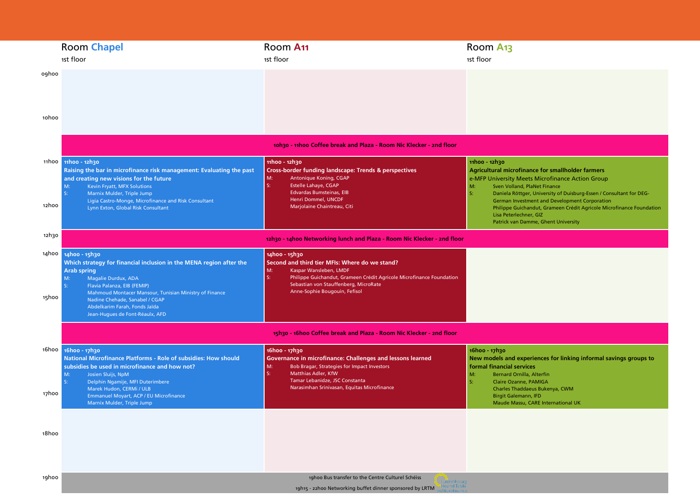|                | <b>Room Chapel</b><br>1st floor                                                                                                                                                                                                                                                                                                        | Room A <sub>11</sub><br>1st floor                                                                                                                                                                                                                       | Room A <sub>13</sub><br>1st floor                                                                                                                                                                                                                                                                          |
|----------------|----------------------------------------------------------------------------------------------------------------------------------------------------------------------------------------------------------------------------------------------------------------------------------------------------------------------------------------|---------------------------------------------------------------------------------------------------------------------------------------------------------------------------------------------------------------------------------------------------------|------------------------------------------------------------------------------------------------------------------------------------------------------------------------------------------------------------------------------------------------------------------------------------------------------------|
| oghoo          |                                                                                                                                                                                                                                                                                                                                        |                                                                                                                                                                                                                                                         |                                                                                                                                                                                                                                                                                                            |
| 10h00          |                                                                                                                                                                                                                                                                                                                                        |                                                                                                                                                                                                                                                         |                                                                                                                                                                                                                                                                                                            |
|                |                                                                                                                                                                                                                                                                                                                                        | 10h30 - 11h00 Coffee break and Plaza - Room Nic Klecker - 2nd floor                                                                                                                                                                                     |                                                                                                                                                                                                                                                                                                            |
|                | 11h00 11h00 - 12h30<br>Raising the bar in microfinance risk management: Evaluating the past<br>and creating new visions for the future                                                                                                                                                                                                 | 11h00 - 12h30<br><b>Cross-border funding landscape: Trends &amp; perspectives</b><br>Antonique Koning, CGAP<br>M:                                                                                                                                       | 11h00 - 12h30<br><b>Agricultural microfinance for smallholder farmers</b><br>e-MFP University Meets Microfinance Action Group                                                                                                                                                                              |
| 12hoo          | Kevin Fryatt, MFX Solutions<br>M:<br>iç-<br>Marnix Mulder, Triple Jump<br>Ligia Castro-Monge, Microfinance and Risk Consultant<br>Lynn Exton, Global Risk Consultant                                                                                                                                                                   | S:<br><b>Estelle Lahaye, CGAP</b><br><b>Edvardas Bumsteinas, EIB</b><br>Henri Dommel, UNCDF<br>Marjolaine Chaintreau, Citi                                                                                                                              | M:<br>Sven Volland, PlaNet Finance<br>St.<br>Daniela Röttger, University of Duisburg-Essen / Consultant for DEG-<br>German Investment and Development Corporation<br>Philippe Guichandut, Grameen Crédit Agricole Microfinance Foundation<br>Lisa Peterlechner, GIZ<br>Patrick van Damme, Ghent University |
| 12h30          |                                                                                                                                                                                                                                                                                                                                        | 12h30 - 14h00 Networking lunch and Plaza - Room Nic Klecker - 2nd floor                                                                                                                                                                                 |                                                                                                                                                                                                                                                                                                            |
| 14hoo<br>15hoo | 14hoo - 15h30<br>Which strategy for financial inclusion in the MENA region after the<br><b>Arab spring</b><br>Magalie Durdux, ADA<br>M:<br>Flavia Palanza, EIB (FEMIP)<br>Mahmoud Montacer Mansour, Tunisian Ministry of Finance<br>Nadine Chehade, Sanabel / CGAP<br>Abdelkarim Farah, Fonds Jaïda<br>Jean-Hugues de Font-Réaulx, AFD | 14h00 - 15h30<br>Second and third tier MFIs: Where do we stand?<br>M:<br>Kaspar Wansleben, LMDF<br>S:<br>Philippe Guichandut, Grameen Crédit Agricole Microfinance Foundation<br>Sebastian von Stauffenberg, MicroRate<br>Anne-Sophie Bougouin, Fefisol |                                                                                                                                                                                                                                                                                                            |
|                |                                                                                                                                                                                                                                                                                                                                        | 15h30 - 16h00 Coffee break and Plaza - Room Nic Klecker - 2nd floor                                                                                                                                                                                     |                                                                                                                                                                                                                                                                                                            |
| 16hoo<br>17hoo | 16hoo - 17h30<br>National Microfinance Platforms - Role of subsidies: How should<br>subsidies be used in microfinance and how not?<br>M:<br>Josien Sluijs, NpM<br>S:<br>Delphin Ngamije, MFI Duterimbere<br>Marek Hudon, CERMi / ULB                                                                                                   | 16hoo - 17h30<br>Governance in microfinance: Challenges and lessons learned<br>M:<br>Bob Bragar, Strategies for Impact Investors<br>S:<br>Matthias Adler, KfW<br>Tamar Lebanidze, JSC Constanta<br>Narasimhan Srinivasan, Equitas Microfinance          | 16hoo - 17h30<br>New models and experiences for linking informal savings groups to<br>formal financial services<br>M:<br><b>Bernard Ornilla, Alterfin</b><br>St.<br>Claire Ozanne, PAMIGA<br>Charles Thaddaeus Bukenya, CWM                                                                                |
|                | Emmanuel Moyart, ACP / EU Microfinance<br>Marnix Mulder, Triple Jump                                                                                                                                                                                                                                                                   |                                                                                                                                                                                                                                                         | <b>Birgit Galemann, IFD</b><br>Maude Massu, CARE International UK                                                                                                                                                                                                                                          |
| 18hoo          |                                                                                                                                                                                                                                                                                                                                        |                                                                                                                                                                                                                                                         |                                                                                                                                                                                                                                                                                                            |
|                |                                                                                                                                                                                                                                                                                                                                        |                                                                                                                                                                                                                                                         |                                                                                                                                                                                                                                                                                                            |
| 19hoo          |                                                                                                                                                                                                                                                                                                                                        | 19hoo Bus transfer to the Centre Culturel Schéiss<br>Luxembourg<br>ound Table<br>19h15 - 22hoo Networking buffet dinner sponsored by LRTM                                                                                                               |                                                                                                                                                                                                                                                                                                            |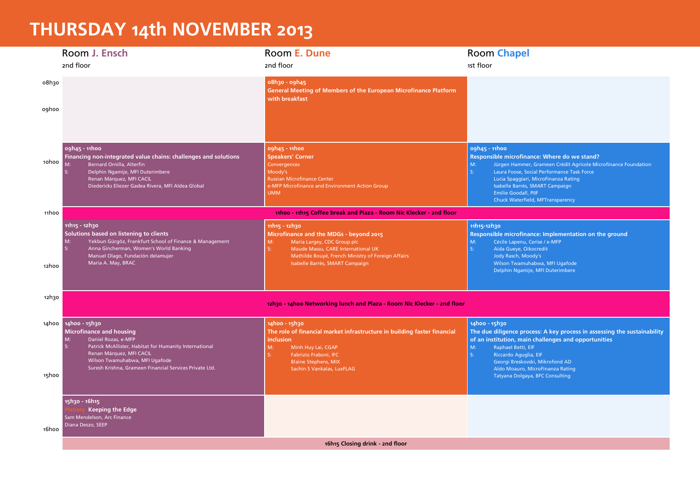## **THURSDAY 14th NOVEMBER 2013**

|       | Room J. Ensch                                                                                                                                                                                                                                                          | Room E. Dune                                                                                                                                                                                                                               | <b>Room Chapel</b>                                                                                                                                                                                                                                                                                                                      |  |  |
|-------|------------------------------------------------------------------------------------------------------------------------------------------------------------------------------------------------------------------------------------------------------------------------|--------------------------------------------------------------------------------------------------------------------------------------------------------------------------------------------------------------------------------------------|-----------------------------------------------------------------------------------------------------------------------------------------------------------------------------------------------------------------------------------------------------------------------------------------------------------------------------------------|--|--|
|       | 2nd floor                                                                                                                                                                                                                                                              | 2nd floor                                                                                                                                                                                                                                  | 1st floor                                                                                                                                                                                                                                                                                                                               |  |  |
| o8h3o |                                                                                                                                                                                                                                                                        | 08h30 - 09h45<br>General Meeting of Members of the European Microfinance Platform<br>with breakfast                                                                                                                                        |                                                                                                                                                                                                                                                                                                                                         |  |  |
| oghoo |                                                                                                                                                                                                                                                                        |                                                                                                                                                                                                                                            |                                                                                                                                                                                                                                                                                                                                         |  |  |
| 10h00 | ogh45 - 11hoo<br>Financing non-integrated value chains: challenges and solutions<br>M:<br>Bernard Ornilla, Alterfin<br>Delphin Ngamije, MFI Duterimbere<br>Renan Márquez, MFI CACIL<br>Diedericks Eliezer Gadea Rivera, MFI Aldea Global                               | 09h45 - 11h00<br><b>Speakers' Corner</b><br>Convergences<br>Moody's<br><b>Russian Microfinance Center</b><br>e-MFP Microfinance and Environment Action Group<br><b>UMM</b>                                                                 | ogh45 - 11hoo<br>Responsible microfinance: Where do we stand?<br>M:<br>Jürgen Hammer, Grameen Crédit Agricole Microfinance Foundation<br>S:<br>Laura Foose, Social Performance Task Force<br>Lucia Spaggiari, MicroFinanza Rating<br>Isabelle Barrès, SMART Campaign<br><b>Emilie Goodall, PIIF</b><br>Chuck Waterfield, MFTransparency |  |  |
| 11hoo | 11hoo - 11h15 Coffee break and Plaza - Room Nic Klecker - 2nd floor                                                                                                                                                                                                    |                                                                                                                                                                                                                                            |                                                                                                                                                                                                                                                                                                                                         |  |  |
| 12hoo | 11h15 - 12h30<br>Solutions based on listening to clients<br>Yekbun Gürgöz, Frankfurt School of Finance & Management<br>M:<br>Anna Gincherman, Women's World Banking<br>S:<br>Manuel Olago, Fundación delamujer<br>Maria A. May, BRAC                                   | 11h15 - 12h30<br>Microfinance and the MDGs - beyond 2015<br>M:<br>Maria Largey, CDC Group plc<br>S:<br>Maude Massu, CARE International UK<br>Mathilde Bouyé, French Ministry of Foreign Affairs<br>Isabelle Barrès, SMART Campaign         | 11h15-12h30<br>Responsible microfinance: Implementation on the ground<br>M:<br>Cécile Lapenu, Cerise / e-MFP<br>$S_{1}$<br>Aida Gueye, Oikocredit<br>Jody Rasch, Moody's<br>Wilson Twamuhabwa, MFI Ugafode<br>Delphin Ngamije, MFI Duterimbere                                                                                          |  |  |
| 12h30 |                                                                                                                                                                                                                                                                        | 12h30 - 14h00 Networking lunch and Plaza - Room Nic Klecker - 2nd floor                                                                                                                                                                    |                                                                                                                                                                                                                                                                                                                                         |  |  |
|       | 14h00 14h00 - 15h30<br><b>Microfinance and housing</b><br>M:<br>Daniel Rozas, e-MFP<br>Patrick McAllister, Habitat for Humanity International<br>Renan Márquez, MFI CACIL<br>Wilson Twamuhabwa, MFI Ugafode<br>Suresh Krishna, Grameen Financial Services Private Ltd. | 14h00 - 15h30<br>The role of financial market infrastructure in building faster financial<br><b>inclusion</b><br>M:<br>Minh Huy Lai, CGAP<br>$S_{2}$<br>Fabrizio Fraboni, IFC<br><b>Blaine Stephens, MIX</b><br>Sachin S Vankalas, LuxFLAG | 14h00 - 15h30<br>The due diligence process: A key process in assessing the sustainability<br>of an institution, main challenges and opportunities<br>M:<br>Raphael Betti, EIF<br>$S_{1}$<br>Riccardo Aguglia, EIF<br>Georgi Breskovski, Mikrofond AD<br>Aldo Moauro, MicroFinanza Rating                                                |  |  |
| 15hoo |                                                                                                                                                                                                                                                                        |                                                                                                                                                                                                                                            | Tatyana Dolgaya, BFC Consulting                                                                                                                                                                                                                                                                                                         |  |  |
| 16hoo | 15h30 - 16h15<br><b>Keeping the Edge</b><br>Sam Mendelson, Arc Finance<br>Diana Deszo, SEEP                                                                                                                                                                            |                                                                                                                                                                                                                                            |                                                                                                                                                                                                                                                                                                                                         |  |  |
|       | 16h15 Closing drink - 2nd floor                                                                                                                                                                                                                                        |                                                                                                                                                                                                                                            |                                                                                                                                                                                                                                                                                                                                         |  |  |